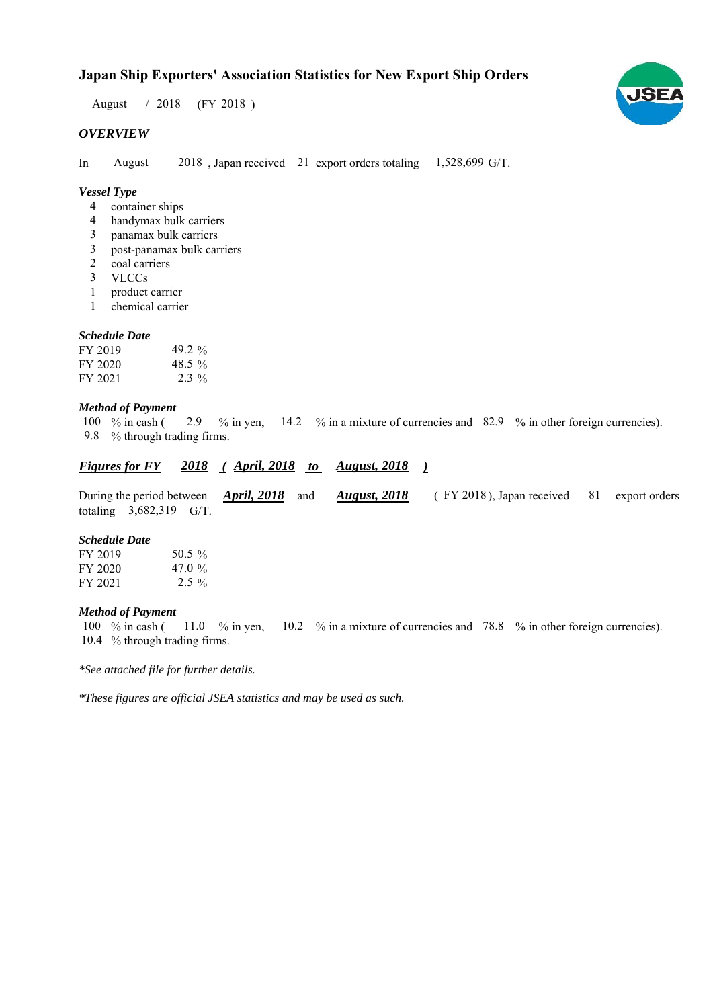### **Japan Ship Exporters' Association Statistics for New Export Ship Orders**

 $/ 2018$  (FY 2018) August

#### *OVERVIEW*

In August  $2018$ , Japan received 21 export orders totaling  $1,528,699$  G/T. August

#### *Vessel Type*

- container ships 4
- handymax bulk carriers 4
- panamax bulk carriers 3
- post-panamax bulk carriers 3
- 2 coal carriers
- VLCCs 3
- product carrier 1
- chemical carrier 1

#### *Schedule Date*

| FY 2019 | 49.2 $\%$ |
|---------|-----------|
| FY 2020 | 48.5 $\%$ |
| FY 2021 | $2.3\%$   |

#### *Method of Payment*

% in cash ( $\frac{2.9}{8}$  % in yen,  $\frac{14.2}{8}$  % in a mixture of currencies and  $\frac{82.9}{8}$  % in other foreign currencies). % through trading firms. 9.8 100 % in cash (

### *Figures for FY* 2018 (*April, 2018 to August, 2018* )

During the period between *April, 2018* and *August, 2018* (FY 2018), Japan received 81 export orders totaling  $3,682,319$  G/T. 81 export orders (FY 2018), Japan received *August, 2018*

#### *Schedule Date*

| FY 2019 | 50.5 $\%$ |
|---------|-----------|
| FY 2020 | 47.0 $\%$ |
| FY 2021 | $2.5\%$   |

#### *Method of Payment*

% in cash ( $\frac{11.0}{8}$  m yen,  $\frac{10.2}{8}$  m a mixture of currencies and 78.8 % in other foreign currencies). 10.4 % through trading firms. 100 % in cash ( 11.0 % in yen,

*\*See attached file for further details.*

*\*These figures are official JSEA statistics and may be used as such.*

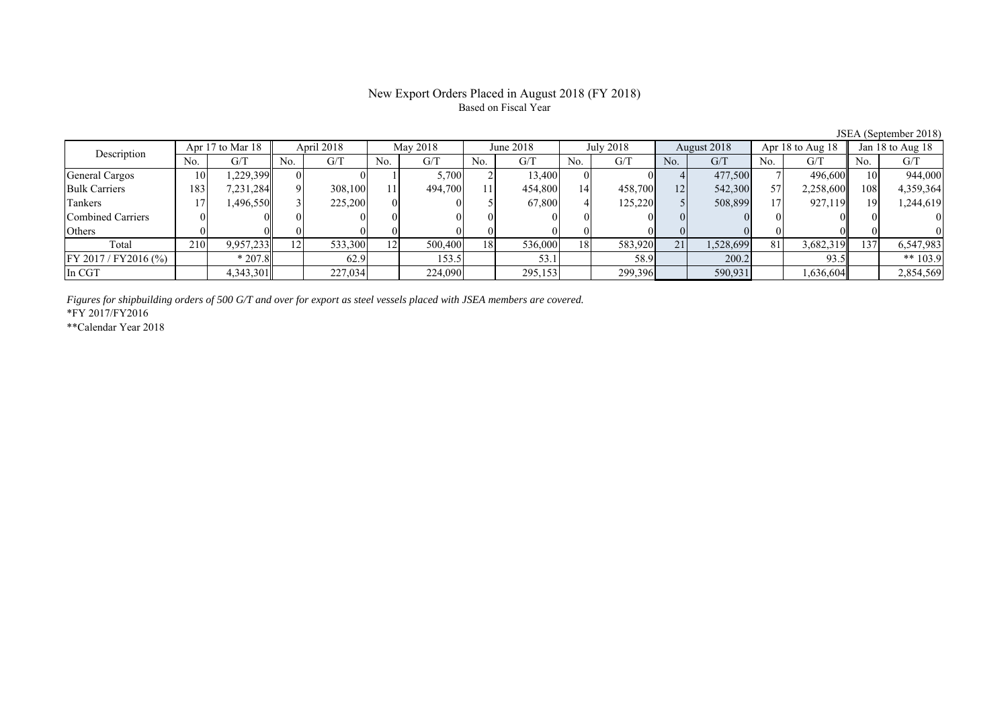#### New Export Orders Placed in August 2018 (FY 2018) Based on Fiscal Year

JSEA (September 2018)<br> $8 \parallel$  Jan 18 to Aug 18 No. G/T No. G/T No. G/T No. G/T No. G/T No. G/T No. G/T No. G/T General Cargos ( 10 1,229,399 0 0 0 1 5,700 2 13,400 0 0 4 477,500 7 496,600 10 944,000 Bulk Carriers 183 7,231,284 9 308,100 11 494,700 11 454,800 14 458,700 12 542,300 57 2,258,600 108 4,359,364 Tankers | 17| 1,496,550|| 3| 225,200| 0| 0| 5| 67,800| 4| 125,220| 5| 508,899| 17| 927,119|| 19| 1,244,619 Combined Carriers 0 0 0 0 0 0 0 0 0 0 0 0 0 0 0 0 Others | 0 | 0|| 0 | 0| 0| 0| 0| 0| 0| 0| 0| 0| 0 Total 210 9,957,233 12 533,300 12 500,400 18 536,000 18 583,920 21 1,528,699 81 3,682,319 137 6,547,983 FY 2017 / FY2016 (%) \* 207.8 62.9 153.5 53.1 53.1 58.9 200.2 93.5 \*\* 103.9 In CGT | | 4,343,301|| | 227,034| | 224,090| | 295,153| | 299,396| | 590,931| | 1,636,604|| | 2,854,569 Description Apr 17 to Mar 18 | April 2018 | May 2018 June 2018 July 2018 August 2018 Apr 18 to Aug 18

*Figures for shipbuilding orders of 500 G/T and over for export as steel vessels placed with JSEA members are covered.*

\*FY 2017/FY2016

\*\*Calendar Year 2018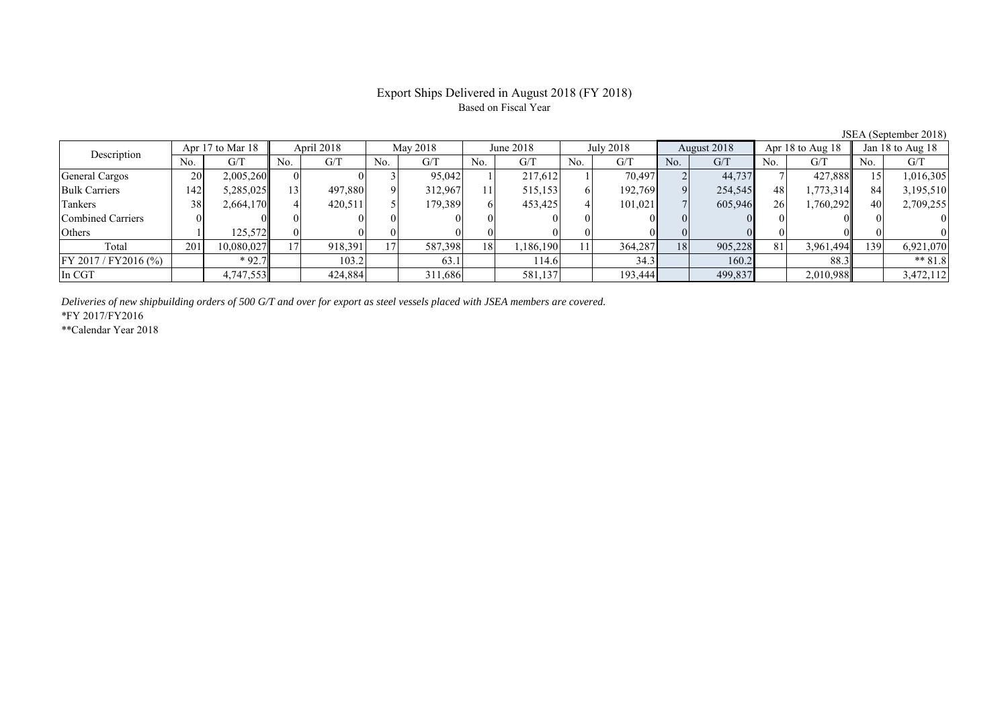# Based on Fiscal Year

JSEA (September 2018)<br> $8 \parallel$  Jan 18 to Aug 18 No. G/T No. G/T No. G/T No. G/T No. G/T No. G/T No. G/T No. G/T General Cargos ( 20 2,005,260 0 0 3 95,042 1 217,612 1 70,497 2 44,737 7 427,888 15 1,016,305 Bulk Carriers 142 5,285,025 13 497,880 9 312,967 11 515,153 6 192,769 9 254,545 48 1,773,314 84 3,195,510 Tankers | 38 2,664,170 41 420,511 5 179,389 6 453,425 4 101,021 7 605,946 26 1,760,292 40 2,709,255 Combined Carriers 0 0 0 0 0 0 0 0 0 0 0 0 0 0 0 0 Others | 1 | 125,572 || 0 | 0 | 0 | 0 | 0 | 0 | 0 | 0 | 0 | 0 | 0 Total 201 10,080,027 17 918,391 17 587,398 18 1,186,190 11 364,287 18 905,228 81 3,961,494 139 6,921,070 FY 2017/FY2016 (%) \* 92.7 103.2 63.1 114.6 34.3 160.2 88.3 \*\* 81.8 In CGT | | 4,747,553|| | 424,884| | 311,686| | 581,137| | 193,444| | 499,837| | 2,010,988|| | 3,472,112 June 2018Description Apr 17 to Mar 18 April 2018 May 2018 June 2018<br>No. | G/T No. | G/T No. | G/T No. | G/T No. | G/T July 2018 August 2018 Apr 18 to Aug 18

*Deliveries of new shipbuilding orders of 500 G/T and over for export as steel vessels placed with JSEA members are covered.*

\*FY 2017/FY2016

\*\*Calendar Year 2018

# Export Ships Delivered in August 2018 (FY 2018)